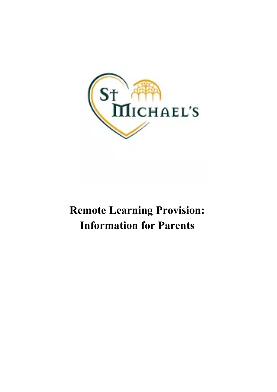

# **Remote Learning Provision: Information for Parents**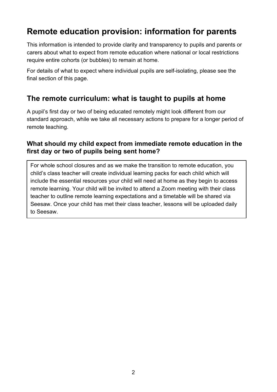# **Remote education provision: information for parents**

This information is intended to provide clarity and transparency to pupils and parents or carers about what to expect from remote education where national or local restrictions require entire cohorts (or bubbles) to remain at home.

For details of what to expect where individual pupils are self-isolating, please see the final section of this page.

# **The remote curriculum: what is taught to pupils at home**

A pupil's first day or two of being educated remotely might look different from our standard approach, while we take all necessary actions to prepare for a longer period of remote teaching.

## **What should my child expect from immediate remote education in the first day or two of pupils being sent home?**

For whole school closures and as we make the transition to remote education, you child's class teacher will create individual learning packs for each child which will include the essential resources your child will need at home as they begin to access remote learning. Your child will be invited to attend a Zoom meeting with their class teacher to outline remote learning expectations and a timetable will be shared via Seesaw. Once your child has met their class teacher, lessons will be uploaded daily to Seesaw.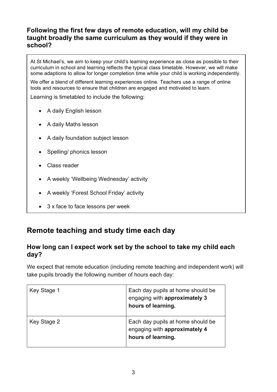## **Following the first few days of remote education, will my child be taught broadly the same curriculum as they would if they were in school?**

At St Michael's, we aim to keep your child's learning experience as close as possible to their curriculum in school and learning reflects the typical class timetable. However, we will make some adaptions to allow for longer completion time while your child is working independently.

We offer a blend of different learning experiences online. Teachers use a range of online tools and resources to ensure that children are engaged and motivated to learn.

Learning is timetabled to include the following:

- A daily English lesson
- A daily Maths lesson
- A daily foundation subject lesson
- Spelling/ phonics lesson
- Class reader
- A weekly 'Wellbeing Wednesday' activity
- A weekly 'Forest School Friday' activity
- 3 x face to face lessons per week

# **Remote teaching and study time each day**

#### **How long can I expect work set by the school to take my child each day?**

We expect that remote education (including remote teaching and independent work) will take pupils broadly the following number of hours each day:

| Key Stage 1 | Each day pupils at home should be<br>engaging with approximately 3<br>hours of learning. |
|-------------|------------------------------------------------------------------------------------------|
| Key Stage 2 | Each day pupils at home should be<br>engaging with approximately 4<br>hours of learning. |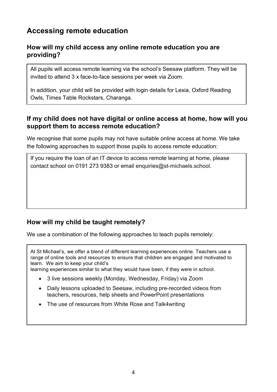# **Accessing remote education**

## **How will my child access any online remote education you are providing?**

All pupils will access remote learning via the school's Seesaw platform. They will be invited to attend 3 x face-to-face sessions per week via Zoom.

In addition, your child will be provided with login details for Lexia, Oxford Reading Owls, Times Table Rockstars, Charanga.

## **If my child does not have digital or online access at home, how will you support them to access remote education?**

We recognise that some pupils may not have suitable online access at home. We take the following approaches to support those pupils to access remote education:

If you require the loan of an IT device to access remote learning at home, please contact school on 0191 273 9383 or email enquiries@st-michaels.school.

# **How will my child be taught remotely?**

We use a combination of the following approaches to teach pupils remotely:

At St Michael's, we offer a blend of different learning experiences online. Teachers use a range of online tools and resources to ensure that children are engaged and motivated to learn. We aim to keep your child's

learning experiences similar to what they would have been, if they were in school.

- 3 live sessions weekly (Monday, Wednesday, Friday) via Zoom
- Daily lessons uploaded to Seesaw, including pre-recorded videos from teachers, resources, help sheets and PowerPoint presentations
- The use of resources from White Rose and Talk4writing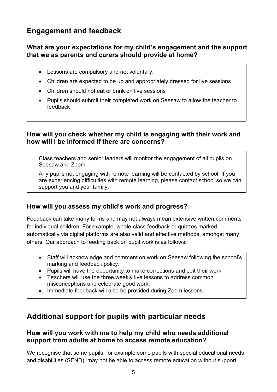# **Engagement and feedback**

## **What are your expectations for my child's engagement and the support that we as parents and carers should provide at home?**

- Lessons are compulsory and not voluntary.
- Children are expected to be up and appropriately dressed for live sessions
- Children should not eat or drink on live sessions
- Pupils should submit their completed work on Seesaw to allow the teacher to feedback

## **How will you check whether my child is engaging with their work and how will I be informed if there are concerns?**

Class teachers and senior leaders will monitor the engagement of all pupils on Seesaw and Zoom.

Any pupils not engaging with remote learning will be contacted by school. If you are experiencing difficulties with remote learning, please contact school so we can support you and your family.

# **How will you assess my child's work and progress?**

Feedback can take many forms and may not always mean extensive written comments for individual children. For example, whole-class feedback or quizzes marked automatically via digital platforms are also valid and effective methods, amongst many others. Our approach to feeding back on pupil work is as follows:

- Staff will acknowledge and comment on work on Seesaw following the school's marking and feedback policy.
- Pupils will have the opportunity to make corrections and edit their work
- Teachers will use the three weekly live lessons to address common misconceptions and celebrate good work.
- Immediate feedback will also be provided during Zoom lessons.

# **Additional support for pupils with particular needs**

## **How will you work with me to help my child who needs additional support from adults at home to access remote education?**

We recognise that some pupils, for example some pupils with special educational needs and disabilities (SEND), may not be able to access remote education without support